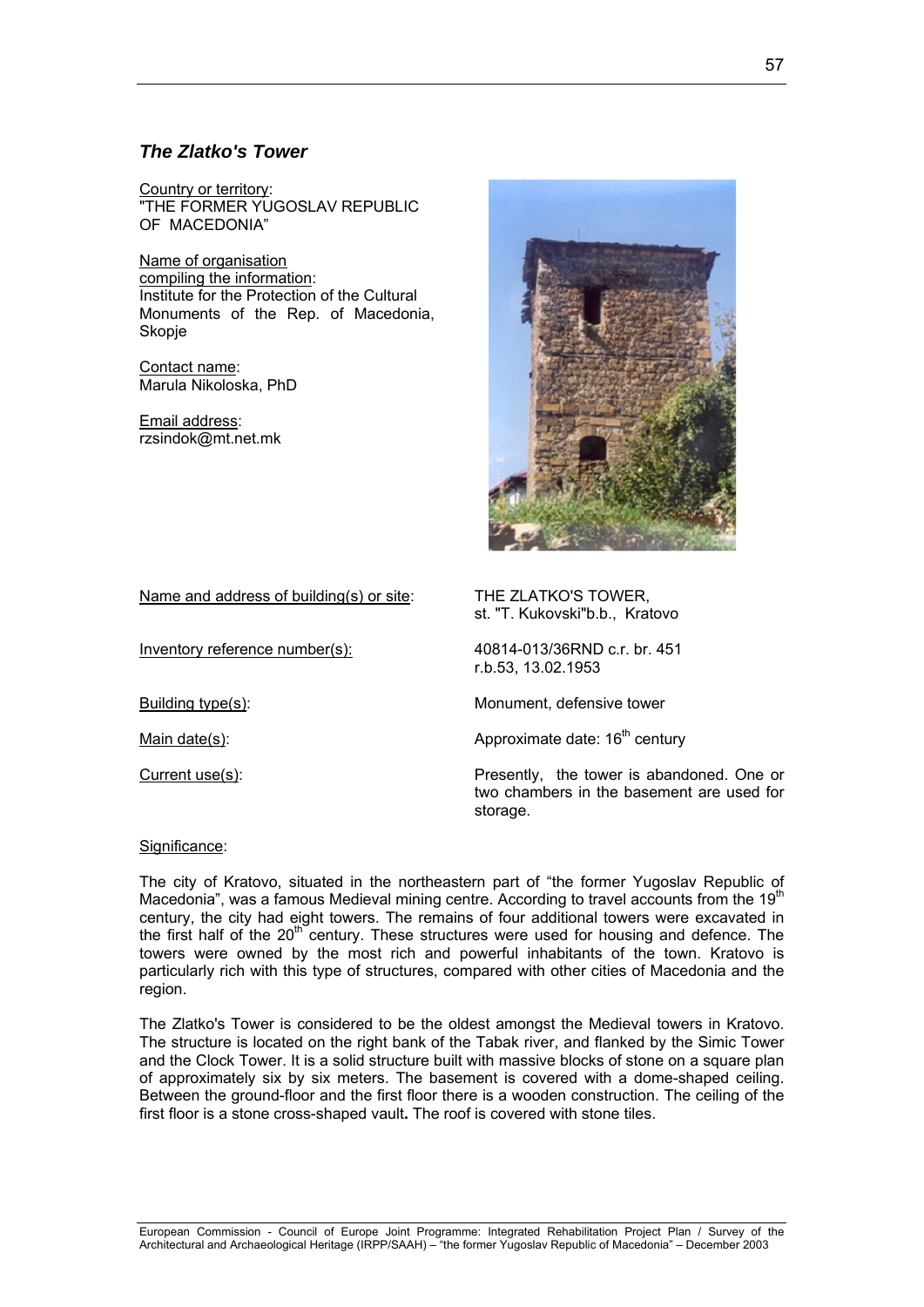# *The Zlatko's Tower*

Country or territory: "THE FORMER YUGOSLAV REPUBLIC OF MACEDONIA"

Name of organisation compiling the information: Institute for the Protection of the Cultural Monuments of the Rep. of Macedonia, Skopje

Contact name: Marula Nikoloska, PhD

Email address: [rzsindok@mt.net.mk](mailto:rzsindok@mt.net.mk)



Name and address of building(s) or site: THE ZLATKO'S TOWER,

Inventory reference number(s): 40814-013/36RND c.r. br. 451

st. "T. Kukovski"b.b., Kratovo

r.b.53, 13.02.1953

Building type(s): Monument, defensive tower

Main date(s):  $\blacksquare$  Approximate date:  $16^{th}$  century

Current use(s): Presently, the tower is abandoned. One or two chambers in the basement are used for storage.

Significance:

The city of Kratovo, situated in the northeastern part of "the former Yugoslav Republic of Macedonia", was a famous Medieval mining centre. According to travel accounts from the 19<sup>th</sup> century, the city had eight towers. The remains of four additional towers were excavated in the first half of the  $20<sup>th</sup>$  century. These structures were used for housing and defence. The towers were owned by the most rich and powerful inhabitants of the town. Kratovo is particularly rich with this type of structures, compared with other cities of Macedonia and the region.

The Zlatko's Tower is considered to be the oldest amongst the Medieval towers in Kratovo. The structure is located on the right bank of the Tabak river, and flanked by the Simic Tower and the Clock Tower. It is a solid structure built with massive blocks of stone on a square plan of approximately six by six meters. The basement is covered with a dome-shaped ceiling. Between the ground-floor and the first floor there is a wooden construction. The ceiling of the first floor is a stone cross-shaped vault**.** The roof is covered with stone tiles.

European Commission - Council of Europe Joint Programme: Integrated Rehabilitation Project Plan / Survey of the Architectural and Archaeological Heritage (IRPP/SAAH) – "the former Yugoslav Republic of Macedonia" – December 2003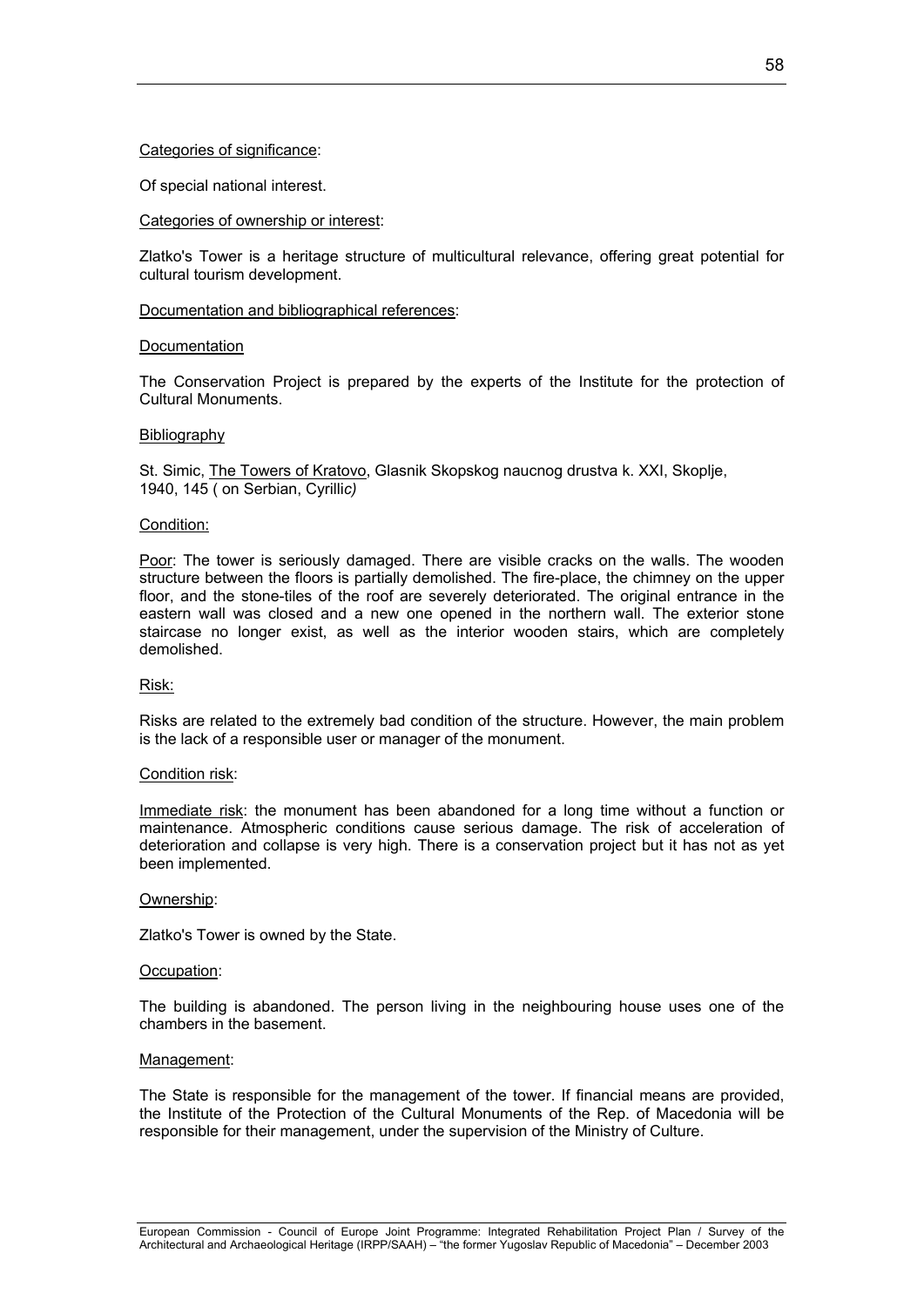## Categories of significance:

Of special national interest.

## Categories of ownership or interest:

Zlatko's Tower is a heritage structure of multicultural relevance, offering great potential for cultural tourism development.

## Documentation and bibliographical references:

## **Documentation**

The Conservation Project is prepared by the experts of the Institute for the protection of Cultural Monuments.

## **Bibliography**

St. Simic, The Towers of Kratovo, Glasnik Skopskog naucnog drustva k. XXI, Skoplje, 1940, 145 ( on Serbian, Cyrilli*c)* 

## Condition:

Poor: The tower is seriously damaged. There are visible cracks on the walls. The wooden structure between the floors is partially demolished. The fire-place, the chimney on the upper floor, and the stone-tiles of the roof are severely deteriorated. The original entrance in the eastern wall was closed and a new one opened in the northern wall. The exterior stone staircase no longer exist, as well as the interior wooden stairs, which are completely demolished.

## Risk:

Risks are related to the extremely bad condition of the structure. However, the main problem is the lack of a responsible user or manager of the monument.

## Condition risk:

Immediate risk: the monument has been abandoned for a long time without a function or maintenance. Atmospheric conditions cause serious damage. The risk of acceleration of deterioration and collapse is very high. There is a conservation project but it has not as yet been implemented.

## Ownership:

Zlatko's Tower is owned by the State.

## Occupation:

The building is abandoned. The person living in the neighbouring house uses one of the chambers in the basement.

## Management:

The State is responsible for the management of the tower. If financial means are provided, the Institute of the Protection of the Cultural Monuments of the Rep. of Macedonia will be responsible for their management, under the supervision of the Ministry of Culture.